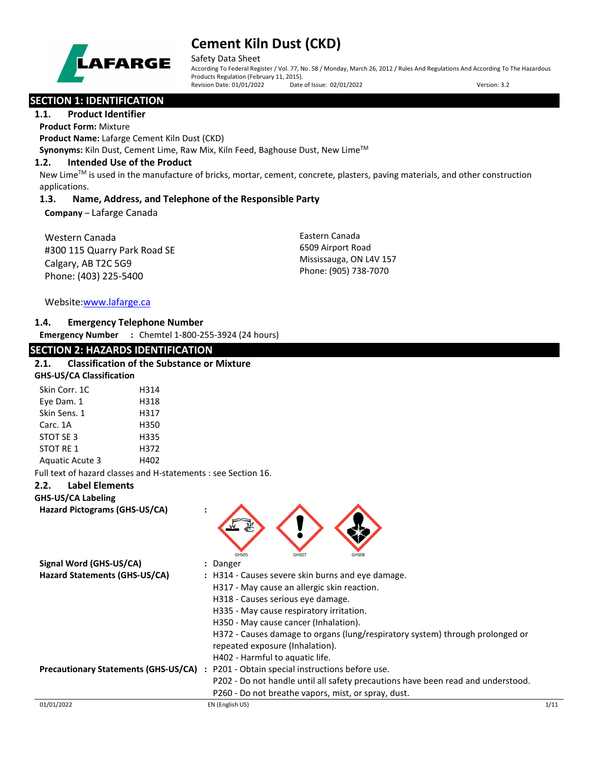

Safety Data Sheet

According To Federal Register / Vol. 77, No. 58 / Monday, March 26, 2012 / Rules And Regulations And According To The Hazardous Products Regulation (February 11, 2015).<br>Revision Date: 01/01/2022 Date of Issue: 02/01/2022 Revision Date: 01/01/2022 Date of Issue: 02/01/2022 Version: 3.2

# **SECTION 1: IDENTIFICATION**

### **1.1. Product Identifier**

**Product Form:** Mixture

**Product Name:** Lafarge Cement Kiln Dust (CKD)

Synonyms: Kiln Dust, Cement Lime, Raw Mix, Kiln Feed, Baghouse Dust, New Lime<sup>™</sup>

### **1.2. Intended Use of the Product**

New Lime<sup>™</sup> is used in the manufacture of bricks, mortar, cement, concrete, plasters, paving materials, and other construction applications.

# **1.3. Name, Address, and Telephone of the Responsible Party**

**Company** – Lafarge Canada

Western Canada #300 115 Quarry Park Road SE Calgary, AB T2C 5G9 Phone: (403) 225-5400

Eastern Canada 6509 Airport Road Mississauga, ON L4V 157 Phone: (905) 738-7070

Website[:www.lafarge.ca](file://leon/customers/CUSTOMERS/Lafarge_North_America_Inc/Projects/Authoring_20180316/Batch_Folder/B_Draft_SDS/MS_Word_Files/www.lafarge.ca)

# **1.4. Emergency Telephone Number**

**Emergency Number :** Chemtel 1-800-255-3924 (24 hours)

# **SECTION 2: HAZARDS IDENTIFICATION**

## **2.1. Classification of the Substance or Mixture**

| <b>GHS-US/CA Classification</b> |             |  |
|---------------------------------|-------------|--|
| Skin Corr. 1C                   | H314        |  |
| Eye Dam. 1                      | H318        |  |
| Chin Conc. 1                    | <b>LD17</b> |  |

| Skin Sens. 1    | H317 |
|-----------------|------|
| Carc. 1A        | H350 |
| STOT SF3        | H335 |
| STOT RF 1       | H372 |
| Aquatic Acute 3 | H402 |

Full text of hazard classes and H-statements : see Section 16.

# **2.2. Label Elements**

**GHS-US/CA Labeling Hazard Pictograms (GHS-US/CA) :**



| Signal Word (GHS-US/CA)                     | : Danger                                                                         |      |
|---------------------------------------------|----------------------------------------------------------------------------------|------|
| Hazard Statements (GHS-US/CA)               | : H314 - Causes severe skin burns and eye damage.                                |      |
|                                             | H317 - May cause an allergic skin reaction.                                      |      |
|                                             | H318 - Causes serious eye damage.                                                |      |
|                                             | H335 - May cause respiratory irritation.                                         |      |
|                                             | H350 - May cause cancer (Inhalation).                                            |      |
|                                             | H372 - Causes damage to organs (lung/respiratory system) through prolonged or    |      |
|                                             | repeated exposure (Inhalation).                                                  |      |
|                                             | H402 - Harmful to aquatic life.                                                  |      |
| <b>Precautionary Statements (GHS-US/CA)</b> | P201 - Obtain special instructions before use.<br>$\ddot{\phantom{a}}$           |      |
|                                             | P202 - Do not handle until all safety precautions have been read and understood. |      |
|                                             | P260 - Do not breathe vapors, mist, or spray, dust.                              |      |
| 01/01/2022                                  | EN (English US)                                                                  | 1/11 |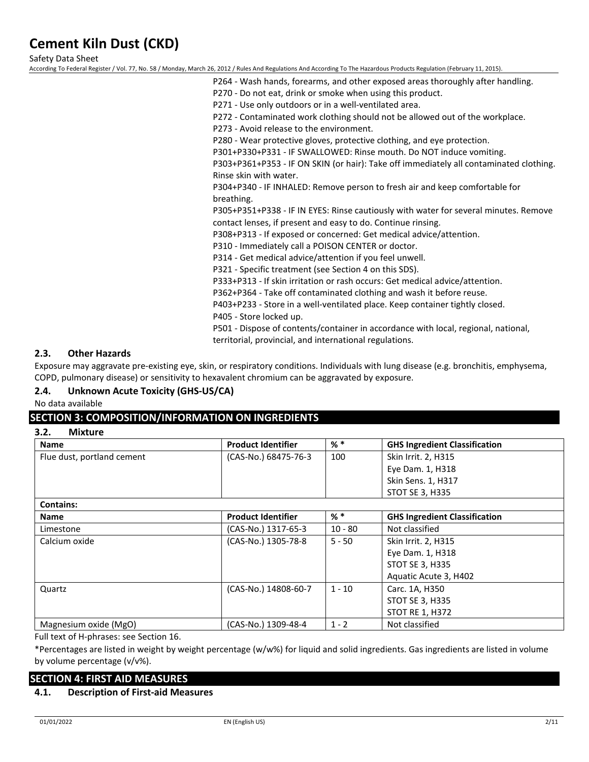Safety Data Sheet

According To Federal Register / Vol. 77, No. 58 / Monday, March 26, 2012 / Rules And Regulations And According To The Hazardous Products Regulation (February 11, 2015).

- P264 Wash hands, forearms, and other exposed areas thoroughly after handling.
- P270 Do not eat, drink or smoke when using this product.
- P271 Use only outdoors or in a well-ventilated area.

P272 - Contaminated work clothing should not be allowed out of the workplace.

P273 - Avoid release to the environment.

P280 - Wear protective gloves, protective clothing, and eye protection.

P301+P330+P331 - IF SWALLOWED: Rinse mouth. Do NOT induce vomiting.

P303+P361+P353 - IF ON SKIN (or hair): Take off immediately all contaminated clothing. Rinse skin with water.

P304+P340 - IF INHALED: Remove person to fresh air and keep comfortable for breathing.

P305+P351+P338 - IF IN EYES: Rinse cautiously with water for several minutes. Remove contact lenses, if present and easy to do. Continue rinsing.

P308+P313 - If exposed or concerned: Get medical advice/attention.

P310 - Immediately call a POISON CENTER or doctor.

P314 - Get medical advice/attention if you feel unwell.

P321 - Specific treatment (see Section 4 on this SDS).

P333+P313 - If skin irritation or rash occurs: Get medical advice/attention.

P362+P364 - Take off contaminated clothing and wash it before reuse.

P403+P233 - Store in a well-ventilated place. Keep container tightly closed. P405 - Store locked up.

P501 - Dispose of contents/container in accordance with local, regional, national, territorial, provincial, and international regulations.

## **2.3. Other Hazards**

Exposure may aggravate pre-existing eye, skin, or respiratory conditions. Individuals with lung disease (e.g. bronchitis, emphysema, COPD, pulmonary disease) or sensitivity to hexavalent chromium can be aggravated by exposure.

# **2.4. Unknown Acute Toxicity (GHS-US/CA)**

No data available

# **SECTION 3: COMPOSITION/INFORMATION ON INGREDIENTS**

**3.2. Mixture**

| <b>Name</b>                | <b>Product Identifier</b> | $%$ $*$ | <b>GHS Ingredient Classification</b> |
|----------------------------|---------------------------|---------|--------------------------------------|
| Flue dust, portland cement | (CAS-No.) 68475-76-3      | 100     | Skin Irrit. 2, H315                  |
|                            |                           |         | Eye Dam. 1, H318                     |
|                            |                           |         | Skin Sens. 1, H317                   |
|                            |                           |         | STOT SE 3, H335                      |
| l Cantainc:                |                           |         |                                      |

| contains:             |                           |           |                                      |
|-----------------------|---------------------------|-----------|--------------------------------------|
| <b>Name</b>           | <b>Product Identifier</b> | $%$ *     | <b>GHS Ingredient Classification</b> |
| Limestone             | (CAS-No.) 1317-65-3       | $10 - 80$ | Not classified                       |
| Calcium oxide         | (CAS-No.) 1305-78-8       | $5 - 50$  | Skin Irrit. 2, H315                  |
|                       |                           |           | Eye Dam. 1, H318                     |
|                       |                           |           | <b>STOT SE 3, H335</b>               |
|                       |                           |           | Aquatic Acute 3, H402                |
| Quartz                | (CAS-No.) 14808-60-7      | $1 - 10$  | Carc. 1A, H350                       |
|                       |                           |           | <b>STOT SE 3, H335</b>               |
|                       |                           |           | <b>STOT RE 1, H372</b>               |
| Magnesium oxide (MgO) | (CAS-No.) 1309-48-4       | $1 - 2$   | Not classified                       |

Full text of H-phrases: see Section 16.

\*Percentages are listed in weight by weight percentage (w/w%) for liquid and solid ingredients. Gas ingredients are listed in volume by volume percentage (v/v%).

### **SECTION 4: FIRST AID MEASURES**

**4.1. Description of First-aid Measures**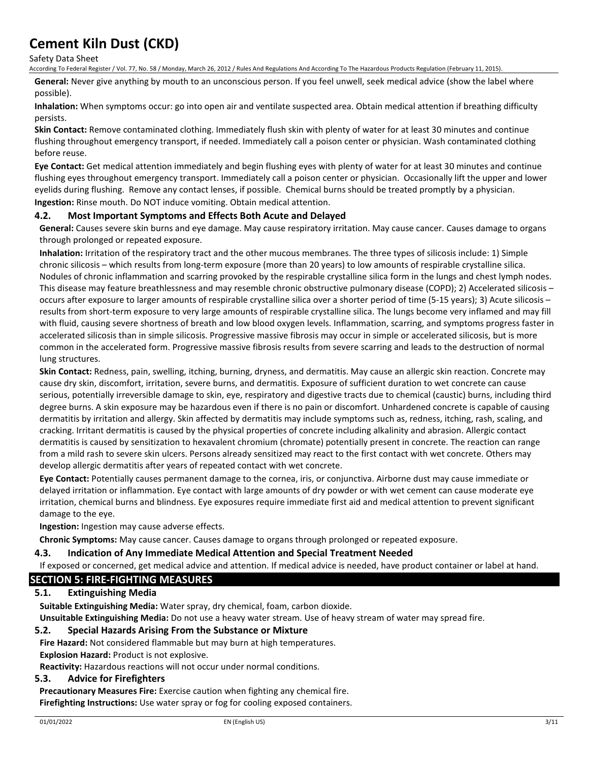Safety Data Sheet

According To Federal Register / Vol. 77, No. 58 / Monday, March 26, 2012 / Rules And Regulations And According To The Hazardous Products Regulation (February 11, 2015).

**General:** Never give anything by mouth to an unconscious person. If you feel unwell, seek medical advice (show the label where possible).

**Inhalation:** When symptoms occur: go into open air and ventilate suspected area. Obtain medical attention if breathing difficulty persists.

**Skin Contact:** Remove contaminated clothing. Immediately flush skin with plenty of water for at least 30 minutes and continue flushing throughout emergency transport, if needed. Immediately call a poison center or physician. Wash contaminated clothing before reuse.

**Eye Contact:** Get medical attention immediately and begin flushing eyes with plenty of water for at least 30 minutes and continue flushing eyes throughout emergency transport. Immediately call a poison center or physician. Occasionally lift the upper and lower eyelids during flushing. Remove any contact lenses, if possible. Chemical burns should be treated promptly by a physician. **Ingestion:** Rinse mouth. Do NOT induce vomiting. Obtain medical attention.

## **4.2. Most Important Symptoms and Effects Both Acute and Delayed**

**General:** Causes severe skin burns and eye damage. May cause respiratory irritation. May cause cancer. Causes damage to organs through prolonged or repeated exposure.

**Inhalation:** Irritation of the respiratory tract and the other mucous membranes. The three types of silicosis include: 1) Simple chronic silicosis – which results from long-term exposure (more than 20 years) to low amounts of respirable crystalline silica. Nodules of chronic inflammation and scarring provoked by the respirable crystalline silica form in the lungs and chest lymph nodes. This disease may feature breathlessness and may resemble chronic obstructive pulmonary disease (COPD); 2) Accelerated silicosis – occurs after exposure to larger amounts of respirable crystalline silica over a shorter period of time (5-15 years); 3) Acute silicosis – results from short-term exposure to very large amounts of respirable crystalline silica. The lungs become very inflamed and may fill with fluid, causing severe shortness of breath and low blood oxygen levels. Inflammation, scarring, and symptoms progress faster in accelerated silicosis than in simple silicosis. Progressive massive fibrosis may occur in simple or accelerated silicosis, but is more common in the accelerated form. Progressive massive fibrosis results from severe scarring and leads to the destruction of normal lung structures.

**Skin Contact:** Redness, pain, swelling, itching, burning, dryness, and dermatitis. May cause an allergic skin reaction. Concrete may cause dry skin, discomfort, irritation, severe burns, and dermatitis. Exposure of sufficient duration to wet concrete can cause serious, potentially irreversible damage to skin, eye, respiratory and digestive tracts due to chemical (caustic) burns, including third degree burns. A skin exposure may be hazardous even if there is no pain or discomfort. Unhardened concrete is capable of causing dermatitis by irritation and allergy. Skin affected by dermatitis may include symptoms such as, redness, itching, rash, scaling, and cracking. Irritant dermatitis is caused by the physical properties of concrete including alkalinity and abrasion. Allergic contact dermatitis is caused by sensitization to hexavalent chromium (chromate) potentially present in concrete. The reaction can range from a mild rash to severe skin ulcers. Persons already sensitized may react to the first contact with wet concrete. Others may develop allergic dermatitis after years of repeated contact with wet concrete.

**Eye Contact:** Potentially causes permanent damage to the cornea, iris, or conjunctiva. Airborne dust may cause immediate or delayed irritation or inflammation. Eye contact with large amounts of dry powder or with wet cement can cause moderate eye irritation, chemical burns and blindness. Eye exposures require immediate first aid and medical attention to prevent significant damage to the eye.

**Ingestion:** Ingestion may cause adverse effects.

**Chronic Symptoms:** May cause cancer. Causes damage to organs through prolonged or repeated exposure.

### **4.3. Indication of Any Immediate Medical Attention and Special Treatment Needed**

If exposed or concerned, get medical advice and attention. If medical advice is needed, have product container or label at hand.

# **SECTION 5: FIRE-FIGHTING MEASURES**

### **5.1. Extinguishing Media**

**Suitable Extinguishing Media:** Water spray, dry chemical, foam, carbon dioxide.

**Unsuitable Extinguishing Media:** Do not use a heavy water stream. Use of heavy stream of water may spread fire.

#### **5.2. Special Hazards Arising From the Substance or Mixture**

**Fire Hazard:** Not considered flammable but may burn at high temperatures.

**Explosion Hazard:** Product is not explosive.

**Reactivity:** Hazardous reactions will not occur under normal conditions.

### **5.3. Advice for Firefighters**

**Precautionary Measures Fire:** Exercise caution when fighting any chemical fire. **Firefighting Instructions:** Use water spray or fog for cooling exposed containers.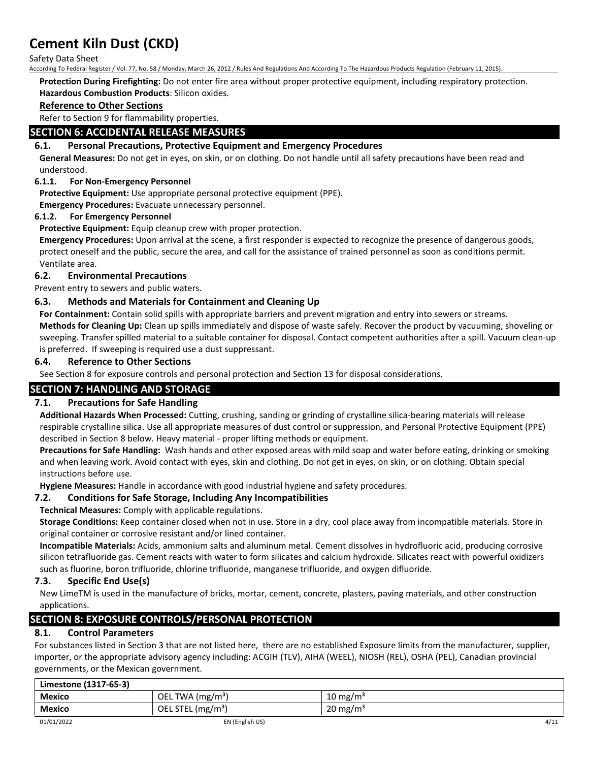Safety Data Sheet

According To Federal Register / Vol. 77, No. 58 / Monday, March 26, 2012 / Rules And Regulations And According To The Hazardous Products Regulation (February 11, 2015).

**Protection During Firefighting:** Do not enter fire area without proper protective equipment, including respiratory protection. **Hazardous Combustion Products**: Silicon oxides.

# **Reference to Other Sections**

Refer to Section 9 for flammability properties.

# **SECTION 6: ACCIDENTAL RELEASE MEASURES**

# **6.1. Personal Precautions, Protective Equipment and Emergency Procedures**

**General Measures:** Do not get in eyes, on skin, or on clothing. Do not handle until all safety precautions have been read and understood.

## **6.1.1. For Non-Emergency Personnel**

**Protective Equipment:** Use appropriate personal protective equipment (PPE).

**Emergency Procedures:** Evacuate unnecessary personnel.

## **6.1.2. For Emergency Personnel**

**Protective Equipment:** Equip cleanup crew with proper protection.

**Emergency Procedures:** Upon arrival at the scene, a first responder is expected to recognize the presence of dangerous goods, protect oneself and the public, secure the area, and call for the assistance of trained personnel as soon as conditions permit. Ventilate area.

# **6.2. Environmental Precautions**

Prevent entry to sewers and public waters.

# **6.3. Methods and Materials for Containment and Cleaning Up**

**For Containment:** Contain solid spills with appropriate barriers and prevent migration and entry into sewers or streams. **Methods for Cleaning Up:** Clean up spills immediately and dispose of waste safely. Recover the product by vacuuming, shoveling or sweeping. Transfer spilled material to a suitable container for disposal. Contact competent authorities after a spill. Vacuum clean-up is preferred. If sweeping is required use a dust suppressant.

## **6.4. Reference to Other Sections**

See Section 8 for exposure controls and personal protection and Section 13 for disposal considerations.

# **SECTION 7: HANDLING AND STORAGE**

# **7.1. Precautions for Safe Handling**

**Additional Hazards When Processed:** Cutting, crushing, sanding or grinding of crystalline silica-bearing materials will release respirable crystalline silica. Use all appropriate measures of dust control or suppression, and Personal Protective Equipment (PPE) described in Section 8 below. Heavy material - proper lifting methods or equipment.

**Precautions for Safe Handling:** Wash hands and other exposed areas with mild soap and water before eating, drinking or smoking and when leaving work. Avoid contact with eyes, skin and clothing. Do not get in eyes, on skin, or on clothing. Obtain special instructions before use.

**Hygiene Measures:** Handle in accordance with good industrial hygiene and safety procedures.

# **7.2. Conditions for Safe Storage, Including Any Incompatibilities**

**Technical Measures:** Comply with applicable regulations.

**Storage Conditions:** Keep container closed when not in use. Store in a dry, cool place away from incompatible materials. Store in original container or corrosive resistant and/or lined container.

**Incompatible Materials:** Acids, ammonium salts and aluminum metal. Cement dissolves in hydrofluoric acid, producing corrosive silicon tetrafluoride gas. Cement reacts with water to form silicates and calcium hydroxide. Silicates react with powerful oxidizers such as fluorine, boron trifluoride, chlorine trifluoride, manganese trifluoride, and oxygen difluoride.

# **7.3. Specific End Use(s)**

New LimeTM is used in the manufacture of bricks, mortar, cement, concrete, plasters, paving materials, and other construction applications.

# **SECTION 8: EXPOSURE CONTROLS/PERSONAL PROTECTION**

# **8.1. Control Parameters**

For substances listed in Section 3 that are not listed here, there are no established Exposure limits from the manufacturer, supplier, importer, or the appropriate advisory agency including: ACGIH (TLV), AIHA (WEEL), NIOSH (REL), OSHA (PEL), Canadian provincial governments, or the Mexican government.

| Limestone (1317-65-3) |                            |                     |      |
|-----------------------|----------------------------|---------------------|------|
| <b>Mexico</b>         | . TWA (mg/m $^3$ )<br>OEL. | $10 \text{ mg/m}^3$ |      |
| <b>Mexico</b>         | OEL STEL $(mg/m3)$         | $20 \text{ mg/m}^3$ |      |
| 01/01/2022            | EN (English US)            |                     | 4/11 |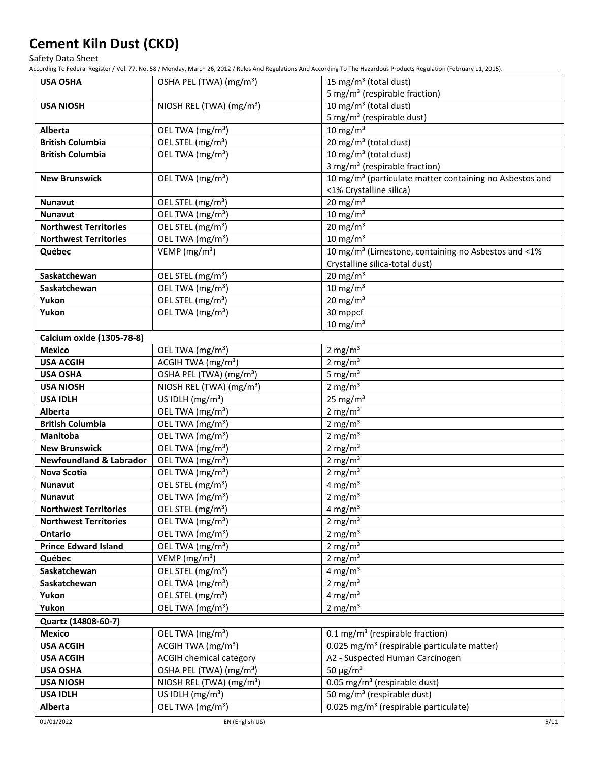Safety Data Sheet

According To Federal Register / Vol. 77, No. 58 / Monday, March 26, 2012 / Rules And Regulations And According To The Hazardous Products Regulation (February 11, 2015).

| <b>USA OSHA</b>                    | OSHA PEL (TWA) (mg/m <sup>3</sup> )  | 15 mg/m <sup>3</sup> (total dust)<br>5 mg/m <sup>3</sup> (respirable fraction) |
|------------------------------------|--------------------------------------|--------------------------------------------------------------------------------|
| <b>USA NIOSH</b>                   | NIOSH REL (TWA) (mg/m <sup>3</sup> ) | $\overline{10}$ mg/m <sup>3</sup> (total dust)                                 |
|                                    |                                      | 5 mg/m <sup>3</sup> (respirable dust)                                          |
| <b>Alberta</b>                     | OEL TWA (mg/m <sup>3</sup> )         | $10 \text{ mg/m}^3$                                                            |
| <b>British Columbia</b>            | OEL STEL (mg/m <sup>3</sup> )        | 20 mg/m <sup>3</sup> (total dust)                                              |
| <b>British Columbia</b>            | OEL TWA (mg/m <sup>3</sup> )         | 10 mg/m <sup>3</sup> (total dust)                                              |
|                                    |                                      | 3 mg/m <sup>3</sup> (respirable fraction)                                      |
| <b>New Brunswick</b>               | OEL TWA (mg/m <sup>3</sup> )         | 10 mg/m <sup>3</sup> (particulate matter containing no Asbestos and            |
|                                    |                                      | <1% Crystalline silica)                                                        |
| <b>Nunavut</b>                     | OEL STEL (mg/m <sup>3</sup> )        | 20 mg/m $3$                                                                    |
| <b>Nunavut</b>                     | OEL TWA (mg/m <sup>3</sup> )         | $10 \text{ mg/m}^3$                                                            |
| <b>Northwest Territories</b>       | OEL STEL (mg/m <sup>3</sup> )        | $20$ mg/m <sup>3</sup>                                                         |
| <b>Northwest Territories</b>       | OEL TWA (mg/m <sup>3</sup> )         | $10 \text{ mg/m}^3$                                                            |
| Québec                             | VEMP ( $mg/m3$ )                     | 10 mg/m <sup>3</sup> (Limestone, containing no Asbestos and <1%                |
|                                    |                                      | Crystalline silica-total dust)                                                 |
| Saskatchewan                       | OEL STEL (mg/m <sup>3</sup> )        | 20 mg/m $3$                                                                    |
| Saskatchewan                       | OEL TWA (mg/m <sup>3</sup> )         | $10 \text{ mg/m}^3$                                                            |
| Yukon                              | OEL STEL (mg/m <sup>3</sup> )        | 20 mg/m $3$                                                                    |
| Yukon                              | OEL TWA (mg/m <sup>3</sup> )         | 30 mppcf                                                                       |
|                                    |                                      | $10$ mg/m <sup>3</sup>                                                         |
| Calcium oxide (1305-78-8)          |                                      |                                                                                |
| <b>Mexico</b>                      | OEL TWA (mg/m <sup>3</sup> )         | 2 mg/ $m3$                                                                     |
| <b>USA ACGIH</b>                   | ACGIH TWA (mg/m <sup>3</sup> )       | 2 mg/ $m3$                                                                     |
| <b>USA OSHA</b>                    | OSHA PEL (TWA) (mg/m <sup>3</sup> )  | 5 mg/ $m3$                                                                     |
| <b>USA NIOSH</b>                   | NIOSH REL (TWA) (mg/m <sup>3</sup> ) | 2 mg/ $m3$                                                                     |
| <b>USA IDLH</b>                    | US IDLH (mg/m <sup>3</sup> )         | $25$ mg/m <sup>3</sup>                                                         |
| Alberta                            | OEL TWA (mg/m <sup>3</sup> )         | 2 mg/ $m3$                                                                     |
| <b>British Columbia</b>            | OEL TWA (mg/m <sup>3</sup> )         | 2 mg/ $m3$                                                                     |
| <b>Manitoba</b>                    | OEL TWA (mg/m <sup>3</sup> )         | 2 mg/ $m3$                                                                     |
| <b>New Brunswick</b>               | OEL TWA (mg/m <sup>3</sup> )         | 2 mg/ $m3$                                                                     |
| <b>Newfoundland &amp; Labrador</b> | OEL TWA (mg/m <sup>3</sup> )         | 2 mg/m $3$                                                                     |
| Nova Scotia                        | OEL TWA (mg/m <sup>3</sup> )         | 2 mg/ $m3$                                                                     |
| Nunavut                            | OEL STEL (mg/m <sup>3</sup> )        | 4 mg/m <sup>3</sup>                                                            |
| <b>Nunavut</b>                     | OEL TWA (mg/m <sup>3</sup> )         | 2 mg/ $m3$                                                                     |
| <b>Northwest Territories</b>       | OEL STEL (mg/m <sup>3</sup> )        | 4 mg/m <sup>3</sup>                                                            |
| <b>Northwest Territories</b>       | OEL TWA (mg/m <sup>3</sup> )         | 2 mg/ $m3$                                                                     |
| Ontario                            | OEL TWA (mg/m <sup>3</sup> )         | 2 mg/ $m3$                                                                     |
| <b>Prince Edward Island</b>        | OEL TWA (mg/m <sup>3</sup> )         | 2 mg/ $m3$                                                                     |
| Québec                             | VEMP ( $mg/m3$ )                     | 2 mg/ $m3$                                                                     |
| Saskatchewan                       | OEL STEL (mg/m <sup>3</sup> )        | 4 mg/ $m3$                                                                     |
| Saskatchewan                       | OEL TWA (mg/m <sup>3</sup> )         | 2 mg/ $m3$                                                                     |
| Yukon                              | OEL STEL (mg/m <sup>3</sup> )        | 4 mg/ $m3$                                                                     |
| Yukon                              | OEL TWA (mg/m <sup>3</sup> )         | 2 mg/ $m3$                                                                     |
| Quartz (14808-60-7)                |                                      |                                                                                |
| <b>Mexico</b>                      | OEL TWA (mg/m <sup>3</sup> )         | 0.1 mg/m <sup>3</sup> (respirable fraction)                                    |
| <b>USA ACGIH</b>                   | ACGIH TWA (mg/m <sup>3</sup> )       | 0.025 mg/m <sup>3</sup> (respirable particulate matter)                        |
| <b>USA ACGIH</b>                   | <b>ACGIH chemical category</b>       | A2 - Suspected Human Carcinogen                                                |
| <b>USA OSHA</b>                    | OSHA PEL (TWA) (mg/m <sup>3</sup> )  | 50 $\mu$ g/m <sup>3</sup>                                                      |
| <b>USA NIOSH</b>                   | NIOSH REL (TWA) (mg/m <sup>3</sup> ) | $\overline{0.05}$ mg/m <sup>3</sup> (respirable dust)                          |
| <b>USA IDLH</b>                    | US IDLH $(mg/m3)$                    | 50 mg/m <sup>3</sup> (respirable dust)                                         |
| Alberta                            | OEL TWA (mg/m <sup>3</sup> )         | 0.025 mg/m <sup>3</sup> (respirable particulate)                               |
|                                    |                                      |                                                                                |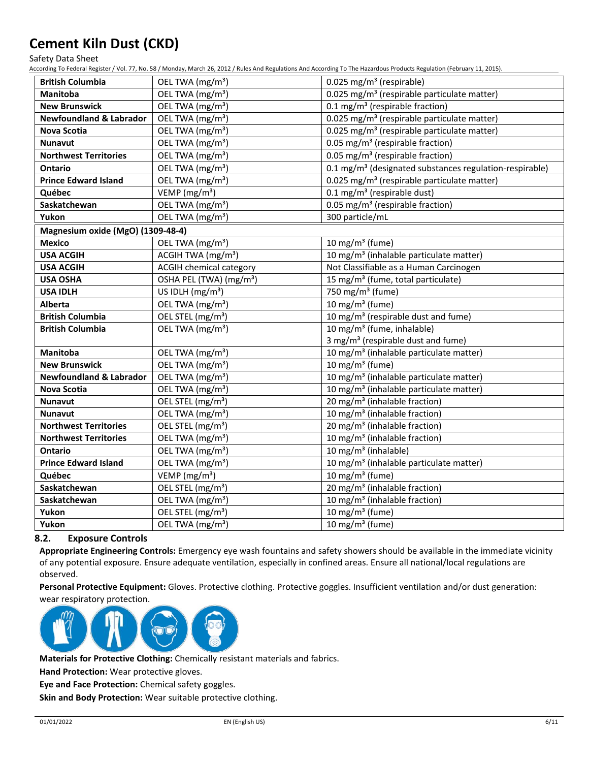Safety Data Sheet

According To Federal Register / Vol. 77, No. 58 / Monday, March 26, 2012 / Rules And Regulations And According To The Hazardous Products Regulation (February 11, 2015).

| <b>British Columbia</b>            | OEL TWA (mg/m <sup>3</sup> )        | 0.025 mg/m <sup>3</sup> (respirable)                                |
|------------------------------------|-------------------------------------|---------------------------------------------------------------------|
| <b>Manitoba</b>                    | OEL TWA (mg/m <sup>3</sup> )        | 0.025 mg/m <sup>3</sup> (respirable particulate matter)             |
| <b>New Brunswick</b>               | OEL TWA (mg/m <sup>3</sup> )        | 0.1 mg/m <sup>3</sup> (respirable fraction)                         |
| <b>Newfoundland &amp; Labrador</b> | OEL TWA (mg/m <sup>3</sup> )        | 0.025 mg/m <sup>3</sup> (respirable particulate matter)             |
| <b>Nova Scotia</b>                 | OEL TWA (mg/m <sup>3</sup> )        | 0.025 mg/m <sup>3</sup> (respirable particulate matter)             |
| <b>Nunavut</b>                     | OEL TWA (mg/m <sup>3</sup> )        | 0.05 mg/m <sup>3</sup> (respirable fraction)                        |
| <b>Northwest Territories</b>       | OEL TWA (mg/m <sup>3</sup> )        | 0.05 mg/m <sup>3</sup> (respirable fraction)                        |
| <b>Ontario</b>                     | OEL TWA (mg/m <sup>3</sup> )        | 0.1 mg/m <sup>3</sup> (designated substances regulation-respirable) |
| <b>Prince Edward Island</b>        | OEL TWA (mg/m <sup>3</sup> )        | 0.025 mg/m <sup>3</sup> (respirable particulate matter)             |
| Québec                             | VEMP ( $mg/m3$ )                    | $0.1$ mg/m <sup>3</sup> (respirable dust)                           |
| Saskatchewan                       | OEL TWA (mg/m <sup>3</sup> )        | 0.05 mg/m <sup>3</sup> (respirable fraction)                        |
| Yukon                              | OEL TWA (mg/m <sup>3</sup> )        | 300 particle/mL                                                     |
| Magnesium oxide (MgO) (1309-48-4)  |                                     |                                                                     |
| <b>Mexico</b>                      | OEL TWA (mg/m <sup>3</sup> )        | 10 mg/m $3$ (fume)                                                  |
| <b>USA ACGIH</b>                   | ACGIH TWA (mg/m <sup>3</sup> )      | 10 mg/m <sup>3</sup> (inhalable particulate matter)                 |
| <b>USA ACGIH</b>                   | <b>ACGIH chemical category</b>      | Not Classifiable as a Human Carcinogen                              |
| <b>USA OSHA</b>                    | OSHA PEL (TWA) (mg/m <sup>3</sup> ) | 15 mg/m <sup>3</sup> (fume, total particulate)                      |
| <b>USA IDLH</b>                    | US IDLH $(mg/m3)$                   | $\overline{750}$ mg/m <sup>3</sup> (fume)                           |
| Alberta                            | OEL TWA (mg/m <sup>3</sup> )        | 10 mg/m $3$ (fume)                                                  |
| <b>British Columbia</b>            | OEL STEL (mg/m <sup>3</sup> )       | $10$ mg/m <sup>3</sup> (respirable dust and fume)                   |
| <b>British Columbia</b>            | OEL TWA (mg/m <sup>3</sup> )        | 10 mg/m <sup>3</sup> (fume, inhalable)                              |
|                                    |                                     | 3 mg/m <sup>3</sup> (respirable dust and fume)                      |
| Manitoba                           | OEL TWA (mg/m <sup>3</sup> )        | 10 mg/m <sup>3</sup> (inhalable particulate matter)                 |
| <b>New Brunswick</b>               | OEL TWA (mg/m <sup>3</sup> )        | 10 mg/m <sup>3</sup> (fume)                                         |
| <b>Newfoundland &amp; Labrador</b> | OEL TWA (mg/m <sup>3</sup> )        | 10 mg/m <sup>3</sup> (inhalable particulate matter)                 |
| <b>Nova Scotia</b>                 | OEL TWA (mg/m <sup>3</sup> )        | 10 mg/m <sup>3</sup> (inhalable particulate matter)                 |
| <b>Nunavut</b>                     | OEL STEL (mg/m <sup>3</sup> )       | 20 mg/m <sup>3</sup> (inhalable fraction)                           |
| <b>Nunavut</b>                     | OEL TWA (mg/m <sup>3</sup> )        | 10 mg/m <sup>3</sup> (inhalable fraction)                           |
| <b>Northwest Territories</b>       | OEL STEL (mg/m <sup>3</sup> )       | 20 mg/m <sup>3</sup> (inhalable fraction)                           |
| <b>Northwest Territories</b>       | OEL TWA (mg/m <sup>3</sup> )        | 10 mg/m <sup>3</sup> (inhalable fraction)                           |
| <b>Ontario</b>                     | OEL TWA (mg/m <sup>3</sup> )        | 10 mg/m <sup>3</sup> (inhalable)                                    |
| <b>Prince Edward Island</b>        | OEL TWA (mg/m <sup>3</sup> )        | 10 mg/m <sup>3</sup> (inhalable particulate matter)                 |
| Québec                             | VEMP ( $mg/m3$ )                    | 10 mg/m $3$ (fume)                                                  |
| Saskatchewan                       | OEL STEL (mg/m <sup>3</sup> )       | 20 mg/m <sup>3</sup> (inhalable fraction)                           |
| Saskatchewan                       | OEL TWA (mg/m <sup>3</sup> )        | 10 mg/m <sup>3</sup> (inhalable fraction)                           |
| Yukon                              | OEL STEL (mg/m <sup>3</sup> )       | 10 mg/m $3$ (fume)                                                  |
| Yukon                              | OEL TWA (mg/m <sup>3</sup> )        | 10 mg/m <sup>3</sup> (fume)                                         |

# **8.2. Exposure Controls**

**Appropriate Engineering Controls:** Emergency eye wash fountains and safety showers should be available in the immediate vicinity of any potential exposure. Ensure adequate ventilation, especially in confined areas. Ensure all national/local regulations are observed.

**Personal Protective Equipment:** Gloves. Protective clothing. Protective goggles. Insufficient ventilation and/or dust generation: wear respiratory protection.



**Materials for Protective Clothing:** Chemically resistant materials and fabrics.

**Hand Protection:** Wear protective gloves.

**Eye and Face Protection:** Chemical safety goggles.

**Skin and Body Protection:** Wear suitable protective clothing.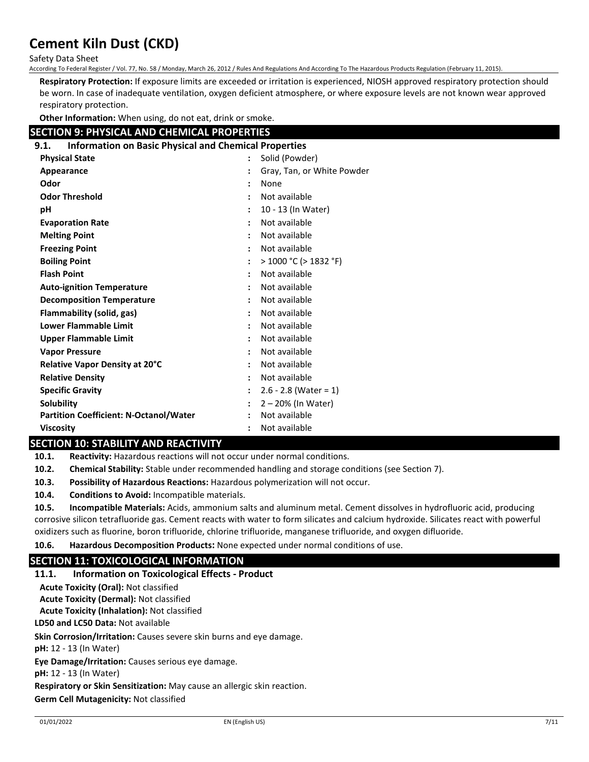Safety Data Sheet

According To Federal Register / Vol. 77, No. 58 / Monday, March 26, 2012 / Rules And Regulations And According To The Hazardous Products Regulation (February 11, 2015).

**Respiratory Protection:** If exposure limits are exceeded or irritation is experienced, NIOSH approved respiratory protection should be worn. In case of inadequate ventilation, oxygen deficient atmosphere, or where exposure levels are not known wear approved respiratory protection.

**Other Information:** When using, do not eat, drink or smoke.

# **SECTION 9: PHYSICAL AND CHEMICAL PROPERTIES**

| <b>Information on Basic Physical and Chemical Properties</b><br>9.1. |                      |                            |
|----------------------------------------------------------------------|----------------------|----------------------------|
| <b>Physical State</b>                                                | $\ddot{\phantom{a}}$ | Solid (Powder)             |
| Appearance                                                           |                      | Gray, Tan, or White Powder |
| Odor                                                                 |                      | None                       |
| <b>Odor Threshold</b>                                                | ٠                    | Not available              |
| рH                                                                   |                      | 10 - 13 (In Water)         |
| <b>Evaporation Rate</b>                                              |                      | Not available              |
| <b>Melting Point</b>                                                 | :                    | Not available              |
| <b>Freezing Point</b>                                                | ÷                    | Not available              |
| <b>Boiling Point</b>                                                 |                      | $>$ 1000 °C ( $>$ 1832 °F) |
| <b>Flash Point</b>                                                   |                      | Not available              |
| <b>Auto-ignition Temperature</b>                                     | ÷                    | Not available              |
| <b>Decomposition Temperature</b>                                     |                      | Not available              |
| Flammability (solid, gas)                                            |                      | Not available              |
| Lower Flammable Limit                                                | ٠                    | Not available              |
| <b>Upper Flammable Limit</b>                                         | ٠                    | Not available              |
| <b>Vapor Pressure</b>                                                |                      | Not available              |
| Relative Vapor Density at 20°C                                       |                      | Not available              |
| <b>Relative Density</b>                                              | :                    | Not available              |
| <b>Specific Gravity</b>                                              | $\bullet$            | $2.6 - 2.8$ (Water = 1)    |
| <b>Solubility</b>                                                    |                      | 2 - 20% (In Water)         |
| <b>Partition Coefficient: N-Octanol/Water</b>                        |                      | Not available              |
| <b>Viscosity</b>                                                     |                      | Not available              |

# **SECTION 10: STABILITY AND REACTIVITY**

**10.1. Reactivity:** Hazardous reactions will not occur under normal conditions.

- **10.2. Chemical Stability:** Stable under recommended handling and storage conditions (see Section 7).
- **10.3. Possibility of Hazardous Reactions:** Hazardous polymerization will not occur.

**10.4. Conditions to Avoid:** Incompatible materials.

**10.5. Incompatible Materials:** Acids, ammonium salts and aluminum metal. Cement dissolves in hydrofluoric acid, producing corrosive silicon tetrafluoride gas. Cement reacts with water to form silicates and calcium hydroxide. Silicates react with powerful oxidizers such as fluorine, boron trifluoride, chlorine trifluoride, manganese trifluoride, and oxygen difluoride.

**10.6. Hazardous Decomposition Products:** None expected under normal conditions of use.

# **SECTION 11: TOXICOLOGICAL INFORMATION**

### **11.1. Information on Toxicological Effects - Product**

**LD50 and LC50 Data:** Not available **Acute Toxicity (Oral):** Not classified **Acute Toxicity (Dermal):** Not classified **Acute Toxicity (Inhalation):** Not classified

**Skin Corrosion/Irritation:** Causes severe skin burns and eye damage.

**pH:** 12 - 13 (In Water)

**Eye Damage/Irritation:** Causes serious eye damage.

**pH:** 12 - 13 (In Water)

**Respiratory or Skin Sensitization:** May cause an allergic skin reaction.

**Germ Cell Mutagenicity:** Not classified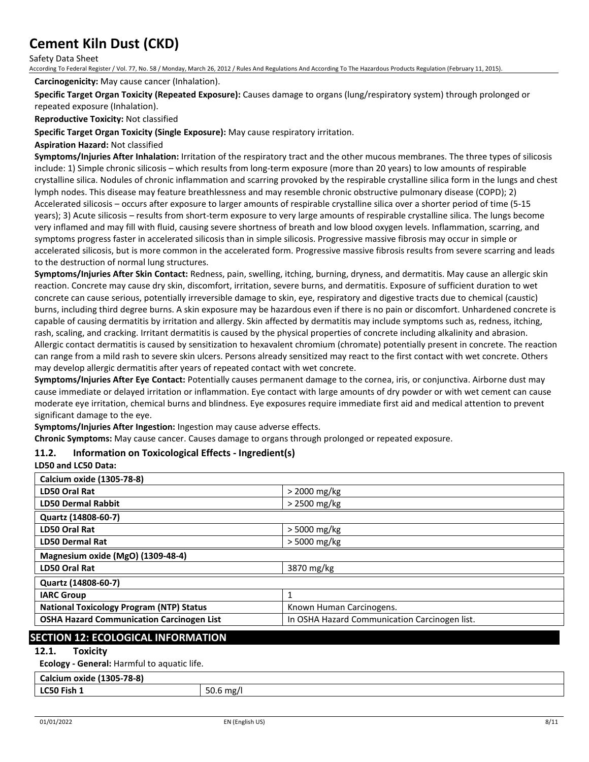Safety Data Sheet

According To Federal Register / Vol. 77, No. 58 / Monday, March 26, 2012 / Rules And Regulations And According To The Hazardous Products Regulation (February 11, 2015).

#### **Carcinogenicity:** May cause cancer (Inhalation).

#### **Specific Target Organ Toxicity (Repeated Exposure):** Causes damage to organs (lung/respiratory system) through prolonged or repeated exposure (Inhalation).

## **Reproductive Toxicity:** Not classified

#### **Specific Target Organ Toxicity (Single Exposure):** May cause respiratory irritation.

#### **Aspiration Hazard:** Not classified

**Symptoms/Injuries After Inhalation:** Irritation of the respiratory tract and the other mucous membranes. The three types of silicosis include: 1) Simple chronic silicosis – which results from long-term exposure (more than 20 years) to low amounts of respirable crystalline silica. Nodules of chronic inflammation and scarring provoked by the respirable crystalline silica form in the lungs and chest lymph nodes. This disease may feature breathlessness and may resemble chronic obstructive pulmonary disease (COPD); 2) Accelerated silicosis – occurs after exposure to larger amounts of respirable crystalline silica over a shorter period of time (5-15 years); 3) Acute silicosis – results from short-term exposure to very large amounts of respirable crystalline silica. The lungs become very inflamed and may fill with fluid, causing severe shortness of breath and low blood oxygen levels. Inflammation, scarring, and symptoms progress faster in accelerated silicosis than in simple silicosis. Progressive massive fibrosis may occur in simple or accelerated silicosis, but is more common in the accelerated form. Progressive massive fibrosis results from severe scarring and leads to the destruction of normal lung structures.

**Symptoms/Injuries After Skin Contact:** Redness, pain, swelling, itching, burning, dryness, and dermatitis. May cause an allergic skin reaction. Concrete may cause dry skin, discomfort, irritation, severe burns, and dermatitis. Exposure of sufficient duration to wet concrete can cause serious, potentially irreversible damage to skin, eye, respiratory and digestive tracts due to chemical (caustic) burns, including third degree burns. A skin exposure may be hazardous even if there is no pain or discomfort. Unhardened concrete is capable of causing dermatitis by irritation and allergy. Skin affected by dermatitis may include symptoms such as, redness, itching, rash, scaling, and cracking. Irritant dermatitis is caused by the physical properties of concrete including alkalinity and abrasion. Allergic contact dermatitis is caused by sensitization to hexavalent chromium (chromate) potentially present in concrete. The reaction can range from a mild rash to severe skin ulcers. Persons already sensitized may react to the first contact with wet concrete. Others may develop allergic dermatitis after years of repeated contact with wet concrete.

**Symptoms/Injuries After Eye Contact:** Potentially causes permanent damage to the cornea, iris, or conjunctiva. Airborne dust may cause immediate or delayed irritation or inflammation. Eye contact with large amounts of dry powder or with wet cement can cause moderate eye irritation, chemical burns and blindness. Eye exposures require immediate first aid and medical attention to prevent significant damage to the eye.

**Symptoms/Injuries After Ingestion:** Ingestion may cause adverse effects.

**Chronic Symptoms:** May cause cancer. Causes damage to organs through prolonged or repeated exposure.

### **11.2. Information on Toxicological Effects - Ingredient(s)**

#### **LD50 and LC50 Data:**

| <b>Calcium oxide (1305-78-8)</b>                 |                                               |
|--------------------------------------------------|-----------------------------------------------|
| LD50 Oral Rat                                    | > 2000 mg/kg                                  |
| <b>LD50 Dermal Rabbit</b>                        | $>$ 2500 mg/kg                                |
| Quartz (14808-60-7)                              |                                               |
| LD50 Oral Rat                                    | $>$ 5000 mg/kg                                |
| <b>LD50 Dermal Rat</b>                           | $>$ 5000 mg/kg                                |
| Magnesium oxide (MgO) (1309-48-4)                |                                               |
| LD50 Oral Rat                                    | 3870 mg/kg                                    |
| Quartz (14808-60-7)                              |                                               |
| <b>IARC Group</b>                                | 1                                             |
| <b>National Toxicology Program (NTP) Status</b>  | Known Human Carcinogens.                      |
| <b>OSHA Hazard Communication Carcinogen List</b> | In OSHA Hazard Communication Carcinogen list. |

# **SECTION 12: ECOLOGICAL INFORMATION**

## **12.1. Toxicity**

**Ecology - General:** Harmful to aquatic life.

# **Calcium oxide (1305-78-8)**

| LC50 Fish 1 |  |  |
|-------------|--|--|

**LC50 Fish 1** 50.6 mg/l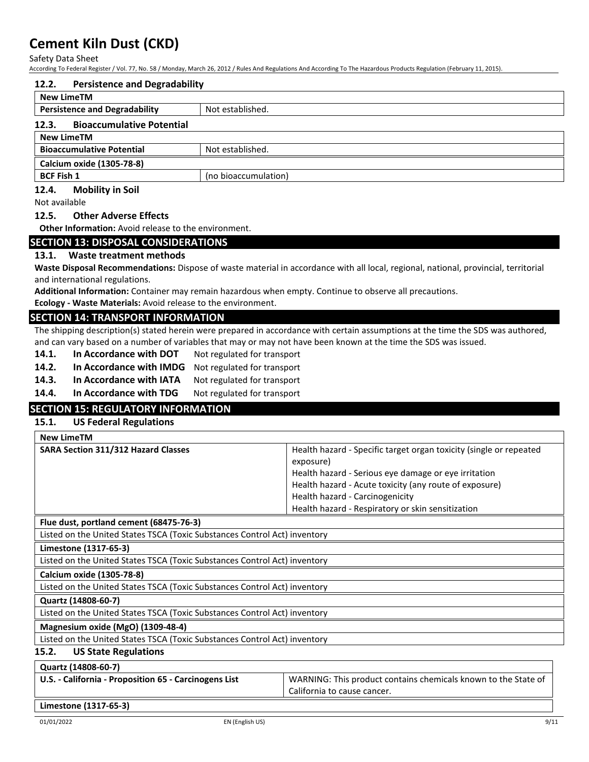Safety Data Sheet

| According To Federal Register / Vol. 77, No. 58 / Monday, March 26, 2012 / Rules And Regulations And According To The Hazardous Products Regulation (February 11, 2015). |                                                                                                                                     |  |  |
|--------------------------------------------------------------------------------------------------------------------------------------------------------------------------|-------------------------------------------------------------------------------------------------------------------------------------|--|--|
| 12.2.<br><b>Persistence and Degradability</b>                                                                                                                            |                                                                                                                                     |  |  |
| <b>New LimeTM</b>                                                                                                                                                        |                                                                                                                                     |  |  |
| <b>Persistence and Degradability</b><br>Not established.                                                                                                                 |                                                                                                                                     |  |  |
| 12.3.<br><b>Bioaccumulative Potential</b>                                                                                                                                |                                                                                                                                     |  |  |
| <b>New LimeTM</b>                                                                                                                                                        |                                                                                                                                     |  |  |
| <b>Bioaccumulative Potential</b><br>Not established.                                                                                                                     |                                                                                                                                     |  |  |
| Calcium oxide (1305-78-8)                                                                                                                                                |                                                                                                                                     |  |  |
| <b>BCF Fish 1</b><br>(no bioaccumulation)                                                                                                                                |                                                                                                                                     |  |  |
| 12.4.<br><b>Mobility in Soil</b>                                                                                                                                         |                                                                                                                                     |  |  |
| Not available                                                                                                                                                            |                                                                                                                                     |  |  |
| 12.5.<br><b>Other Adverse Effects</b>                                                                                                                                    |                                                                                                                                     |  |  |
| <b>Other Information:</b> Avoid release to the environment.                                                                                                              |                                                                                                                                     |  |  |
| <b>SECTION 13: DISPOSAL CONSIDERATIONS</b>                                                                                                                               |                                                                                                                                     |  |  |
| <b>Waste treatment methods</b><br>13.1.                                                                                                                                  |                                                                                                                                     |  |  |
|                                                                                                                                                                          | Waste Disposal Recommendations: Dispose of waste material in accordance with all local, regional, national, provincial, territorial |  |  |
| and international regulations.                                                                                                                                           |                                                                                                                                     |  |  |
| Additional Information: Container may remain hazardous when empty. Continue to observe all precautions.                                                                  |                                                                                                                                     |  |  |
| Ecology - Waste Materials: Avoid release to the environment.                                                                                                             |                                                                                                                                     |  |  |
| <b>SECTION 14: TRANSPORT INFORMATION</b>                                                                                                                                 |                                                                                                                                     |  |  |
|                                                                                                                                                                          | The shipping description(s) stated herein were prepared in accordance with certain assumptions at the time the SDS was authored,    |  |  |
| and can vary based on a number of variables that may or may not have been known at the time the SDS was issued.                                                          |                                                                                                                                     |  |  |
| 14.1.<br>In Accordance with DOT<br>Not regulated for transport                                                                                                           |                                                                                                                                     |  |  |
| 14.2.                                                                                                                                                                    | In Accordance with IMDG<br>Not regulated for transport                                                                              |  |  |
| In Accordance with IATA<br>14.3.<br>Not regulated for transport                                                                                                          |                                                                                                                                     |  |  |
| 14.4.<br>In Accordance with TDG<br>Not regulated for transport                                                                                                           |                                                                                                                                     |  |  |
| <b>SECTION 15: REGULATORY INFORMATION</b>                                                                                                                                |                                                                                                                                     |  |  |
| 15.1.<br><b>US Federal Regulations</b>                                                                                                                                   |                                                                                                                                     |  |  |
| <b>New LimeTM</b>                                                                                                                                                        |                                                                                                                                     |  |  |
| SARA Section 311/312 Hazard Classes                                                                                                                                      | Health hazard - Specific target organ toxicity (single or repeated                                                                  |  |  |
|                                                                                                                                                                          | exposure)                                                                                                                           |  |  |
|                                                                                                                                                                          | Health hazard - Serious eye damage or eye irritation                                                                                |  |  |
|                                                                                                                                                                          | Health hazard - Acute toxicity (any route of exposure)                                                                              |  |  |
|                                                                                                                                                                          | Health hazard - Carcinogenicity<br>Health hazard - Respiratory or skin sensitization                                                |  |  |
| Flue dust, portland cement (68475-76-3)                                                                                                                                  |                                                                                                                                     |  |  |
| Listed on the United States TSCA (Toxic Substances Control Act) inventory                                                                                                |                                                                                                                                     |  |  |
| Limestone (1317-65-3)                                                                                                                                                    |                                                                                                                                     |  |  |
| Listed on the United States TSCA (Toxic Substances Control Act) inventory                                                                                                |                                                                                                                                     |  |  |
| Calcium oxide (1305-78-8)                                                                                                                                                |                                                                                                                                     |  |  |
| Listed on the United States TSCA (Toxic Substances Control Act) inventory                                                                                                |                                                                                                                                     |  |  |
| Quartz (14808-60-7)                                                                                                                                                      |                                                                                                                                     |  |  |
| Listed on the United States TSCA (Toxic Substances Control Act) inventory                                                                                                |                                                                                                                                     |  |  |
| Magnesium oxide (MgO) (1309-48-4)                                                                                                                                        |                                                                                                                                     |  |  |
| Listed on the United States TSCA (Toxic Substances Control Act) inventory                                                                                                |                                                                                                                                     |  |  |
| <b>US State Regulations</b><br>15.2.                                                                                                                                     |                                                                                                                                     |  |  |
| Quartz (14808-60-7)                                                                                                                                                      |                                                                                                                                     |  |  |
| U.S. - California - Proposition 65 - Carcinogens List                                                                                                                    | WARNING: This product contains chemicals known to the State of                                                                      |  |  |
|                                                                                                                                                                          | California to cause cancer.                                                                                                         |  |  |

**Limestone (1317-65-3)**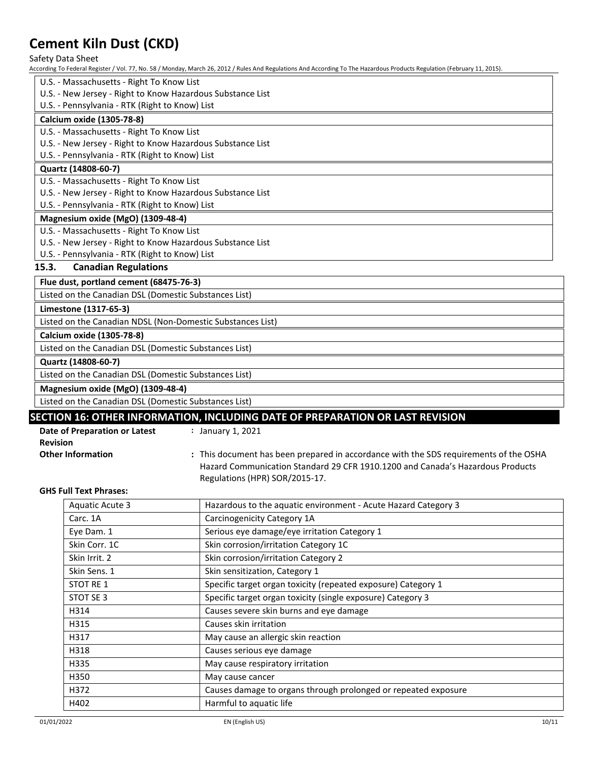Safety Data Sheet

According To Federal Register / Vol. 77, No. 58 / Monday, March 26, 2012 / Rules And Regulations And According To The Hazardous Products Regulation (February 11, 2015).

U.S. - Massachusetts - Right To Know List U.S. - New Jersey - Right to Know Hazardous Substance List U.S. - Pennsylvania - RTK (Right to Know) List **Calcium oxide (1305-78-8)** U.S. - Massachusetts - Right To Know List U.S. - New Jersey - Right to Know Hazardous Substance List U.S. - Pennsylvania - RTK (Right to Know) List **Quartz (14808-60-7)** U.S. - Massachusetts - Right To Know List U.S. - New Jersey - Right to Know Hazardous Substance List U.S. - Pennsylvania - RTK (Right to Know) List **Magnesium oxide (MgO) (1309-48-4)** U.S. - Massachusetts - Right To Know List U.S. - New Jersey - Right to Know Hazardous Substance List U.S. - Pennsylvania - RTK (Right to Know) List **15.3. Canadian Regulations Flue dust, portland cement (68475-76-3)**

Listed on the Canadian DSL (Domestic Substances List)

**Limestone (1317-65-3)**

Listed on the Canadian NDSL (Non-Domestic Substances List)

**Calcium oxide (1305-78-8)**

Listed on the Canadian DSL (Domestic Substances List)

**Quartz (14808-60-7)**

Listed on the Canadian DSL (Domestic Substances List)

**Magnesium oxide (MgO) (1309-48-4)**

Listed on the Canadian DSL (Domestic Substances List)

# **SECTION 16: OTHER INFORMATION, INCLUDING DATE OF PREPARATION OR LAST REVISION**

| Date of Preparation or Latest | January 1, 2021                                                                       |
|-------------------------------|---------------------------------------------------------------------------------------|
| <b>Revision</b>               |                                                                                       |
| <b>Other Information</b>      | : This document has been prepared in accordance with the SDS requirements of the OSHA |
|                               | Hazard Communication Standard 29 CFR 1910.1200 and Canada's Hazardous Products        |
|                               | Regulations (HPR) SOR/2015-17.                                                        |

#### **GHS Full Text Phrases:**

| <b>Aquatic Acute 3</b> | Hazardous to the aquatic environment - Acute Hazard Category 3 |
|------------------------|----------------------------------------------------------------|
| Carc. 1A               | Carcinogenicity Category 1A                                    |
| Eye Dam. 1             | Serious eye damage/eye irritation Category 1                   |
| Skin Corr. 1C          | Skin corrosion/irritation Category 1C                          |
| Skin Irrit. 2          | Skin corrosion/irritation Category 2                           |
| Skin Sens. 1           | Skin sensitization, Category 1                                 |
| STOT RE 1              | Specific target organ toxicity (repeated exposure) Category 1  |
| STOT SE 3              | Specific target organ toxicity (single exposure) Category 3    |
| H314                   | Causes severe skin burns and eye damage                        |
| H315                   | Causes skin irritation                                         |
| H317                   | May cause an allergic skin reaction                            |
| H318                   | Causes serious eye damage                                      |
| H335                   | May cause respiratory irritation                               |
| H350                   | May cause cancer                                               |
| H372                   | Causes damage to organs through prolonged or repeated exposure |
| H402                   | Harmful to aquatic life                                        |